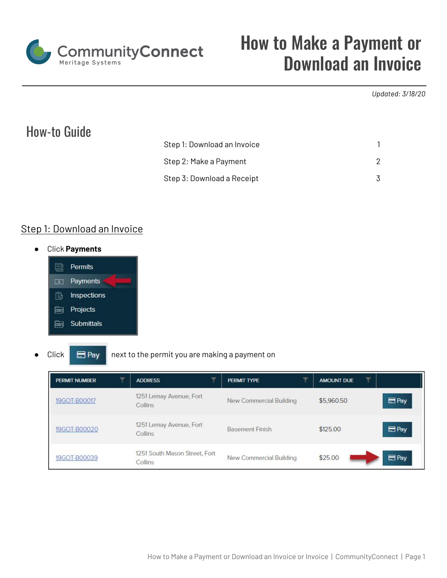

# How to Make a Payment or Download an Invoice

#### *Updated: 3/18/20*

## How-to Guide

| Step 1: Download an Invoice |  |
|-----------------------------|--|
| Step 2: Make a Payment      |  |
| Step 3: Download a Receipt  |  |

### Step 1: Download an Invoice

**●** Click **Payments**



#### Click  $\Box$  Pay next to the permit you are making a payment on

| <b>PERMIT NUMBER</b> | <b>ADDRESS</b>                           | PERMIT TYPE             | v<br>AMOUNT DUE            |
|----------------------|------------------------------------------|-------------------------|----------------------------|
| 19GOT-B00017         | 1251 Lemay Avenue, Fort<br>Collins       | New Commercial Building | $B$ Pay<br>\$5,960.50      |
| 19GOT-B00020         | 1251 Lemay Avenue, Fort<br>Collins       | <b>Basement Finish</b>  | Pay<br>\$125.00            |
| 19GOT-B00039         | 1251 South Mason Street, Fort<br>Collins | New Commercial Building | B <sub>Py</sub><br>\$25.00 |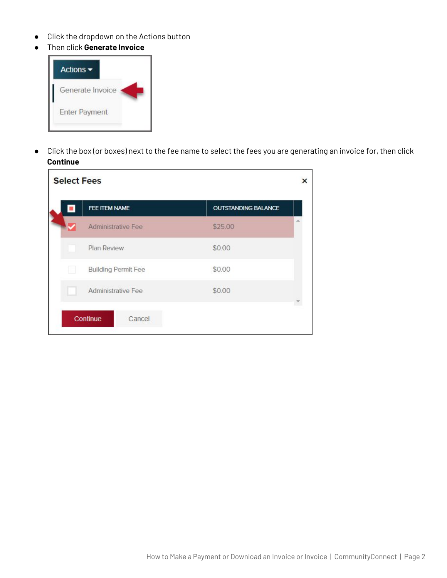- Click the dropdown on the Actions button
- Then click **Generate Invoice**



● Click the box (or boxes) next to the fee name to select the fees you are generating an invoice for, then click **Continue**

<span id="page-1-0"></span>

|  | <b>Select Fees</b> |                            |                            | × |
|--|--------------------|----------------------------|----------------------------|---|
|  | FEE ITEM NAME      |                            | <b>OUTSTANDING BALANCE</b> |   |
|  |                    | Administrative Fee         | \$25.00                    |   |
|  | Plan Review        |                            | \$0.00                     |   |
|  |                    | <b>Building Permit Fee</b> | \$0.00                     |   |
|  |                    | Administrative Fee         | \$0.00                     |   |
|  | Continue           | Cancel                     |                            |   |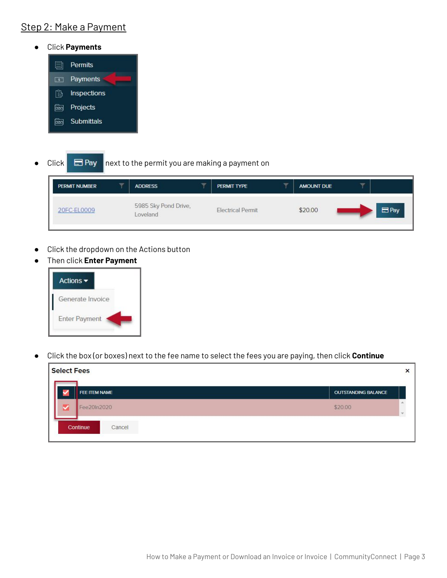## Step 2: Make a Payment

**●** Click **Payments**



Click  $\Box$  Pay next to the permit you are making a payment on

| PERMIT NUMBER | ÷ | <b>ADDRESS</b>                   | ÷ | <b>PERMIT TYPE</b>       | $\overline{\phantom{a}}$ | <b>AMOUNT DUE</b> |            |
|---------------|---|----------------------------------|---|--------------------------|--------------------------|-------------------|------------|
| 20FC-EL0009   |   | 5985 Sky Pond Drive,<br>Loveland |   | <b>Electrical Permit</b> |                          | \$20.00           | $\Box$ Pay |

- Click the dropdown on the Actions button
- Then click **Enter Payment**



● Click the box (or boxes) next to the fee name to select the fees you are paying, then click **Continue**